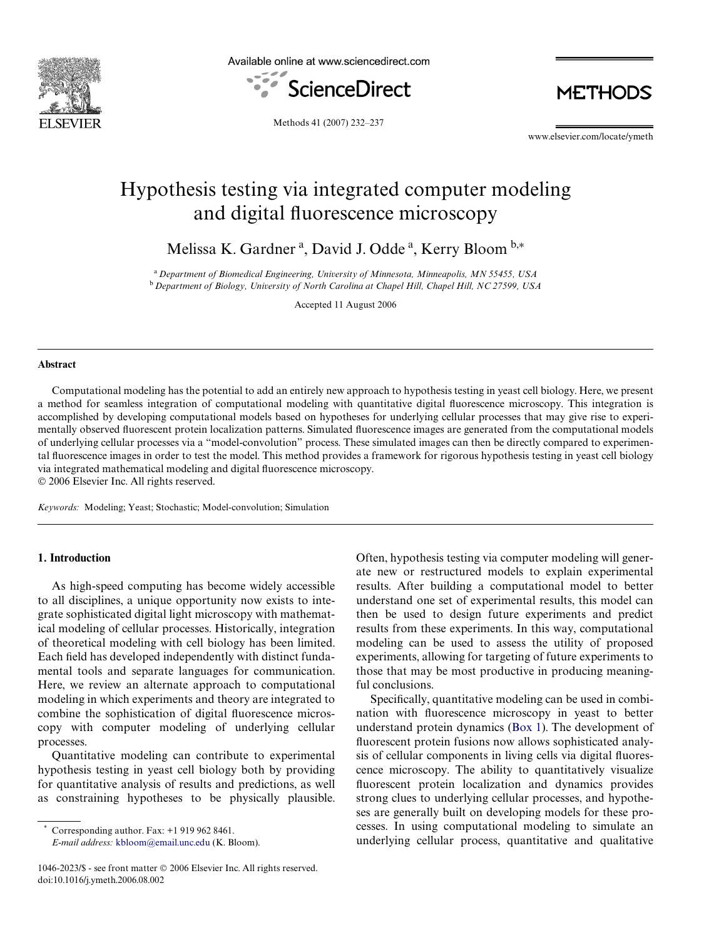

Available online at www.sciencedirect.com



**METHODS** 

Methods 41 (2007) 232–237

www.elsevier.com/locate/ymeth

# Hypothesis testing via integrated computer modeling and digital fluorescence microscopy

Melissa K. Gardner<sup>a</sup>, David J. Odde<sup>a</sup>, Kerry Bloom<sup>b,\*</sup>

<sup>a</sup>*Department of Biomedical Engineering, University of Minnesota, Minneapolis, MN 55455, USA* <sup>b</sup>*Department of Biology, University of North Carolina at Chapel Hill, Chapel Hill, NC 27599, USA*

Accepted 11 August 2006

#### **Abstract**

Computational modeling has the potential to add an entirely new approach to hypothesis testing in yeast cell biology. Here, we present a method for seamless integration of computational modeling with quantitative digital fluorescence microscopy. This integration is accomplished by developing computational models based on hypotheses for underlying cellular processes that may give rise to experimentally observed fluorescent protein localization patterns. Simulated fluorescence images are generated from the computational models of underlying cellular processes via a "model-convolution" process. These simulated images can then be directly compared to experimental fluorescence images in order to test the model. This method provides a framework for rigorous hypothesis testing in yeast cell biology via integrated mathematical modeling and digital fluorescence microscopy. © 2006 Elsevier Inc. All rights reserved.

*Keywords:* Modeling; Yeast; Stochastic; Model-convolution; Simulation

# **1. Introduction**

As high-speed computing has become widely accessible to all disciplines, a unique opportunity now exists to integrate sophisticated digital light microscopy with mathematical modeling of cellular processes. Historically, integration of theoretical modeling with cell biology has been limited. Each field has developed independently with distinct fundamental tools and separate languages for communication. Here, we review an alternate approach to computational modeling in which experiments and theory are integrated to combine the sophistication of digital fluorescence microscopy with computer modeling of underlying cellular processes.

Quantitative modeling can contribute to experimental hypothesis testing in yeast cell biology both by providing for quantitative analysis of results and predictions, as well as constraining hypotheses to be physically plausible.

Corresponding author. Fax:  $+1$  919 962 8461.

*E-mail address:* [kbloom@email.unc.edu](mailto: kbloom@email.unc.edu) (K. Bloom).

Often, hypothesis testing via computer modeling will generate new or restructured models to explain experimental results. After building a computational model to better understand one set of experimental results, this model can then be used to design future experiments and predict results from these experiments. In this way, computational modeling can be used to assess the utility of proposed experiments, allowing for targeting of future experiments to those that may be most productive in producing meaningful conclusions.

Specifically, quantitative modeling can be used in combination with fluorescence microscopy in yeast to better understand protein dynamics ([Box 1](#page-1-0)). The development of fluorescent protein fusions now allows sophisticated analysis of cellular components in living cells via digital fluorescence microscopy. The ability to quantitatively visualize fluorescent protein localization and dynamics provides strong clues to underlying cellular processes, and hypotheses are generally built on developing models for these processes. In using computational modeling to simulate an underlying cellular process, quantitative and qualitative

<sup>1046-2023/\$ -</sup> see front matter © 2006 Elsevier Inc. All rights reserved. doi:10.1016/j.ymeth.2006.08.002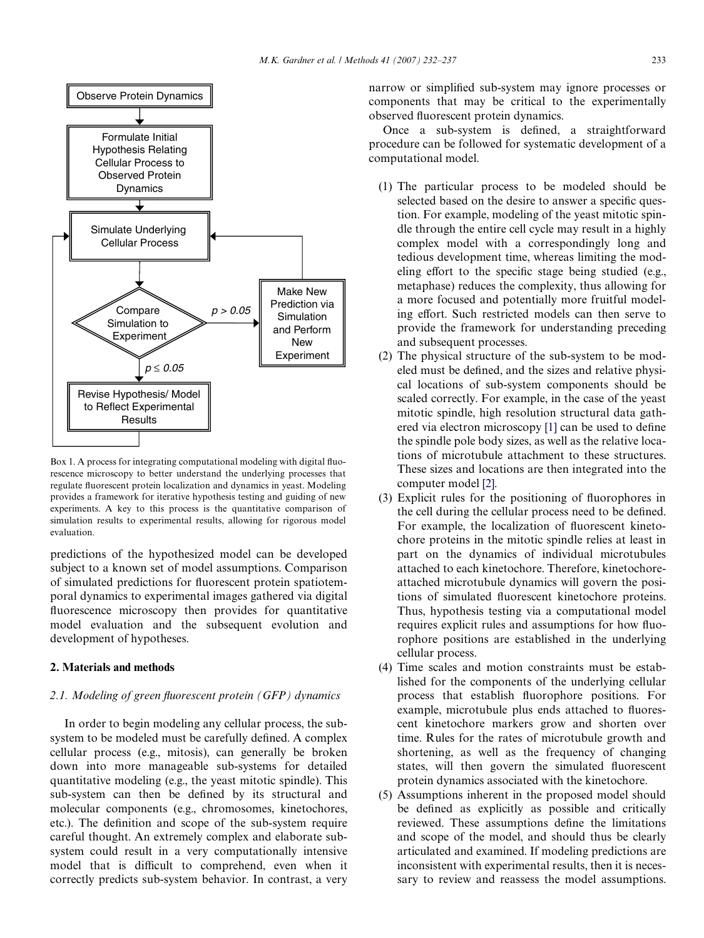

<span id="page-1-0"></span>Box 1. A process for integrating computational modeling with digital fluorescence microscopy to better understand the underlying processes that regulate fluorescent protein localization and dynamics in yeast. Modeling provides a framework for iterative hypothesis testing and guiding of new experiments. A key to this process is the quantitative comparison of simulation results to experimental results, allowing for rigorous model evaluation.

predictions of the hypothesized model can be developed subject to a known set of model assumptions. Comparison of simulated predictions for fluorescent protein spatiotemporal dynamics to experimental images gathered via digital fluorescence microscopy then provides for quantitative model evaluation and the subsequent evolution and development of hypotheses.

## **2. Materials and methods**

### *2.1. Modeling of green fluorescent protein (GFP) dynamics*

In order to begin modeling any cellular process, the subsystem to be modeled must be carefully defined. A complex cellular process (e.g., mitosis), can generally be broken down into more manageable sub-systems for detailed quantitative modeling (e.g., the yeast mitotic spindle). This sub-system can then be defined by its structural and molecular components (e.g., chromosomes, kinetochores, etc.). The definition and scope of the sub-system require careful thought. An extremely complex and elaborate subsystem could result in a very computationally intensive model that is difficult to comprehend, even when it correctly predicts sub-system behavior. In contrast, a very

narrow or simplified sub-system may ignore processes or components that may be critical to the experimentally observed fluorescent protein dynamics.

Once a sub-system is defined, a straightforward procedure can be followed for systematic development of a computational model.

- (1) The particular process to be modeled should be selected based on the desire to answer a specific question. For example, modeling of the yeast mitotic spindle through the entire cell cycle may result in a highly complex model with a correspondingly long and tedious development time, whereas limiting the modeling effort to the specific stage being studied (e.g., metaphase) reduces the complexity, thus allowing for a more focused and potentially more fruitful modeling effort. Such restricted models can then serve to provide the framework for understanding preceding and subsequent processes.
- (2) The physical structure of the sub-system to be modeled must be defined, and the sizes and relative physical locations of sub-system components should be scaled correctly. For example, in the case of the yeast mitotic spindle, high resolution structural data gathered via electron microscopy  $[1]$  can be used to define the spindle pole body sizes, as well as the relative locations of microtubule attachment to these structures. These sizes and locations are then integrated into the computer model [\[2\]](#page-5-1).
- $(3)$  Explicit rules for the positioning of fluorophores in the cell during the cellular process need to be defined. For example, the localization of fluorescent kinetochore proteins in the mitotic spindle relies at least in part on the dynamics of individual microtubules attached to each kinetochore. Therefore, kinetochoreattached microtubule dynamics will govern the positions of simulated fluorescent kinetochore proteins. Thus, hypothesis testing via a computational model requires explicit rules and assumptions for how fluorophore positions are established in the underlying cellular process.
- (4) Time scales and motion constraints must be established for the components of the underlying cellular process that establish fluorophore positions. For example, microtubule plus ends attached to fluorescent kinetochore markers grow and shorten over time. Rules for the rates of microtubule growth and shortening, as well as the frequency of changing states, will then govern the simulated fluorescent protein dynamics associated with the kinetochore.
- (5) Assumptions inherent in the proposed model should be defined as explicitly as possible and critically reviewed. These assumptions define the limitations and scope of the model, and should thus be clearly articulated and examined. If modeling predictions are inconsistent with experimental results, then it is necessary to review and reassess the model assumptions.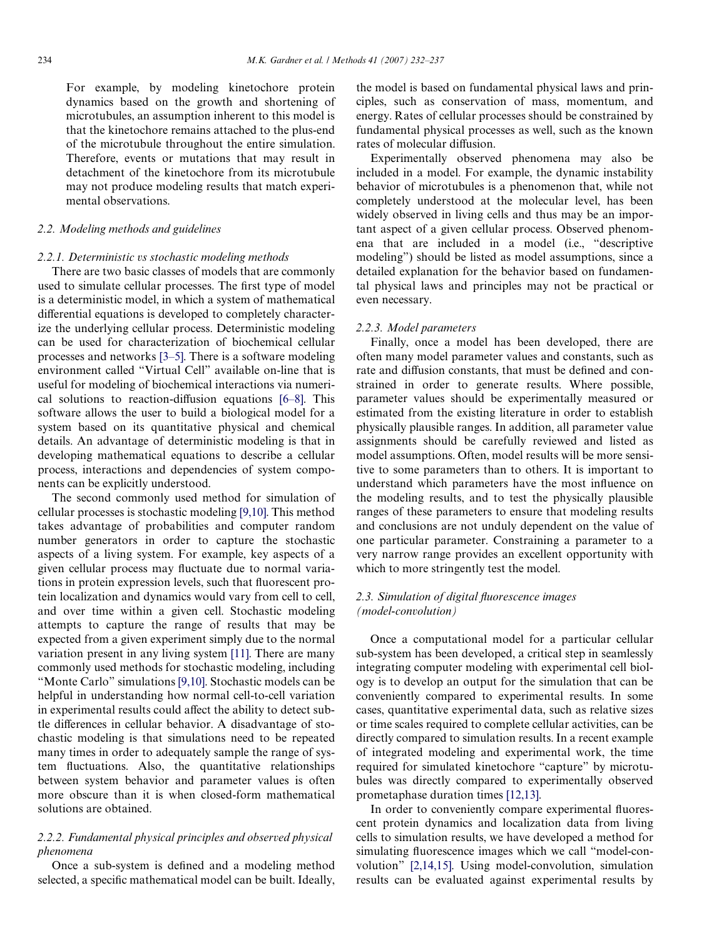For example, by modeling kinetochore protein dynamics based on the growth and shortening of microtubules, an assumption inherent to this model is that the kinetochore remains attached to the plus-end of the microtubule throughout the entire simulation. Therefore, events or mutations that may result in detachment of the kinetochore from its microtubule may not produce modeling results that match experimental observations.

### *2.2. Modeling methods and guidelines*

#### *2.2.1. Deterministic vs stochastic modeling methods*

There are two basic classes of models that are commonly used to simulate cellular processes. The first type of model is a deterministic model, in which a system of mathematical differential equations is developed to completely characterize the underlying cellular process. Deterministic modeling can be used for characterization of biochemical cellular processes and networks [\[3–5\]](#page-5-2). There is a software modeling environment called "Virtual Cell" available on-line that is useful for modeling of biochemical interactions via numerical solutions to reaction-diffusion equations  $[6-8]$ . This software allows the user to build a biological model for a system based on its quantitative physical and chemical details. An advantage of deterministic modeling is that in developing mathematical equations to describe a cellular process, interactions and dependencies of system components can be explicitly understood.

The second commonly used method for simulation of cellular processes is stochastic modeling [\[9,10\]](#page-5-4). This method takes advantage of probabilities and computer random number generators in order to capture the stochastic aspects of a living system. For example, key aspects of a given cellular process may fluctuate due to normal variations in protein expression levels, such that fluorescent protein localization and dynamics would vary from cell to cell, and over time within a given cell. Stochastic modeling attempts to capture the range of results that may be expected from a given experiment simply due to the normal variation present in any living system [\[11\].](#page-5-5) There are many commonly used methods for stochastic modeling, including "Monte Carlo" simulations [\[9,10\]](#page-5-4). Stochastic models can be helpful in understanding how normal cell-to-cell variation in experimental results could affect the ability to detect subtle differences in cellular behavior. A disadvantage of stochastic modeling is that simulations need to be repeated many times in order to adequately sample the range of system fluctuations. Also, the quantitative relationships between system behavior and parameter values is often more obscure than it is when closed-form mathematical solutions are obtained.

## *2.2.2. Fundamental physical principles and observed physical phenomena*

Once a sub-system is defined and a modeling method selected, a specific mathematical model can be built. Ideally,

the model is based on fundamental physical laws and principles, such as conservation of mass, momentum, and energy. Rates of cellular processes should be constrained by fundamental physical processes as well, such as the known rates of molecular diffusion.

Experimentally observed phenomena may also be included in a model. For example, the dynamic instability behavior of microtubules is a phenomenon that, while not completely understood at the molecular level, has been widely observed in living cells and thus may be an important aspect of a given cellular process. Observed phenomena that are included in a model (i.e., "descriptive modeling") should be listed as model assumptions, since a detailed explanation for the behavior based on fundamental physical laws and principles may not be practical or even necessary.

#### *2.2.3. Model parameters*

Finally, once a model has been developed, there are often many model parameter values and constants, such as rate and diffusion constants, that must be defined and constrained in order to generate results. Where possible, parameter values should be experimentally measured or estimated from the existing literature in order to establish physically plausible ranges. In addition, all parameter value assignments should be carefully reviewed and listed as model assumptions. Often, model results will be more sensitive to some parameters than to others. It is important to understand which parameters have the most influence on the modeling results, and to test the physically plausible ranges of these parameters to ensure that modeling results and conclusions are not unduly dependent on the value of one particular parameter. Constraining a parameter to a very narrow range provides an excellent opportunity with which to more stringently test the model.

## 2.3. Simulation of digital *fluorescence images (model-convolution)*

Once a computational model for a particular cellular sub-system has been developed, a critical step in seamlessly integrating computer modeling with experimental cell biology is to develop an output for the simulation that can be conveniently compared to experimental results. In some cases, quantitative experimental data, such as relative sizes or time scales required to complete cellular activities, can be directly compared to simulation results. In a recent example of integrated modeling and experimental work, the time required for simulated kinetochore "capture" by microtubules was directly compared to experimentally observed prometaphase duration times [\[12,13\].](#page-5-6)

In order to conveniently compare experimental fluorescent protein dynamics and localization data from living cells to simulation results, we have developed a method for simulating fluorescence images which we call "model-convolution" [\[2,14,15\].](#page-5-1) Using model-convolution, simulation results can be evaluated against experimental results by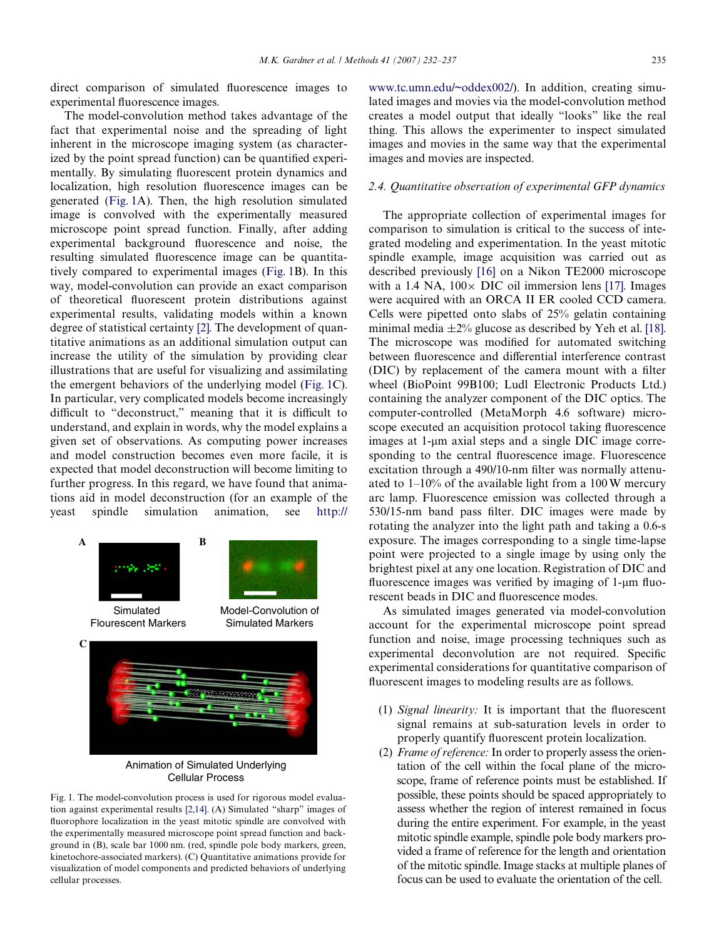direct comparison of simulated fluorescence images to experimental fluorescence images.

The model-convolution method takes advantage of the fact that experimental noise and the spreading of light inherent in the microscope imaging system (as characterized by the point spread function) can be quantified experimentally. By simulating fluorescent protein dynamics and localization, high resolution fluorescence images can be generated ([Fig. 1](#page-3-0)A). Then, the high resolution simulated image is convolved with the experimentally measured microscope point spread function. Finally, after adding experimental background fluorescence and noise, the resulting simulated fluorescence image can be quantitatively compared to experimental images ([Fig. 1B](#page-3-0)). In this way, model-convolution can provide an exact comparison of theoretical fluorescent protein distributions against experimental results, validating models within a known degree of statistical certainty [\[2\].](#page-5-1) The development of quantitative animations as an additional simulation output can increase the utility of the simulation by providing clear illustrations that are useful for visualizing and assimilating the emergent behaviors of the underlying model ([Fig. 1](#page-3-0)C). In particular, very complicated models become increasingly difficult to "deconstruct," meaning that it is difficult to understand, and explain in words, why the model explains a given set of observations. As computing power increases and model construction becomes even more facile, it is expected that model deconstruction will become limiting to further progress. In this regard, we have found that animations aid in model deconstruction (for an example of the yeast spindle simulation animation, see [http://](http://www.tc.umn.edu/~oddex002/)



Animation of Simulated Underlying Cellular Process

<span id="page-3-0"></span>Fig. 1. The model-convolution process is used for rigorous model evaluation against experimental results [\[2,14\].](#page-5-1) (A) Simulated "sharp" images of fluorophore localization in the yeast mitotic spindle are convolved with the experimentally measured microscope point spread function and background in (B), scale bar 1000 nm. (red, spindle pole body markers, green, kinetochore-associated markers). (C) Quantitative animations provide for visualization of model components and predicted behaviors of underlying cellular processes.

[www.tc.umn.edu/~oddex002/\)](http://www.tc.umn.edu/~oddex002/). In addition, creating simulated images and movies via the model-convolution method creates a model output that ideally "looks" like the real thing. This allows the experimenter to inspect simulated images and movies in the same way that the experimental images and movies are inspected.

## *2.4. Quantitative observation of experimental GFP dynamics*

The appropriate collection of experimental images for comparison to simulation is critical to the success of integrated modeling and experimentation. In the yeast mitotic spindle example, image acquisition was carried out as described previously [\[16\]](#page-5-7) on a Nikon TE2000 microscope with a 1.4 NA,  $100 \times$  DIC oil immersion lens [\[17\].](#page-5-8) Images were acquired with an ORCA II ER cooled CCD camera. Cells were pipetted onto slabs of 25% gelatin containing minimal media  $\pm 2\%$  glucose as described by Yeh et al. [\[18\]](#page-5-9). The microscope was modified for automated switching between fluorescence and differential interference contrast (DIC) by replacement of the camera mount with a filter wheel (BioPoint 99B100; Ludl Electronic Products Ltd.) containing the analyzer component of the DIC optics. The computer-controlled (MetaMorph 4.6 software) microscope executed an acquisition protocol taking fluorescence images at 1-µm axial steps and a single DIC image corresponding to the central fluorescence image. Fluorescence excitation through a 490/10-nm filter was normally attenuated to 1–10% of the available light from a 100 W mercury arc lamp. Fluorescence emission was collected through a  $530/15$ -nm band pass filter. DIC images were made by rotating the analyzer into the light path and taking a 0.6-s exposure. The images corresponding to a single time-lapse point were projected to a single image by using only the brightest pixel at any one location. Registration of DIC and fluorescence images was verified by imaging of 1-um fluorescent beads in DIC and fluorescence modes.

As simulated images generated via model-convolution account for the experimental microscope point spread function and noise, image processing techniques such as experimental deconvolution are not required. Specific experimental considerations for quantitative comparison of fluorescent images to modeling results are as follows.

- (1) *Signal linearity:* It is important that the fluorescent signal remains at sub-saturation levels in order to properly quantify fluorescent protein localization.
- (2) *Frame of reference:* In order to properly assess the orientation of the cell within the focal plane of the microscope, frame of reference points must be established. If possible, these points should be spaced appropriately to assess whether the region of interest remained in focus during the entire experiment. For example, in the yeast mitotic spindle example, spindle pole body markers provided a frame of reference for the length and orientation of the mitotic spindle. Image stacks at multiple planes of focus can be used to evaluate the orientation of the cell.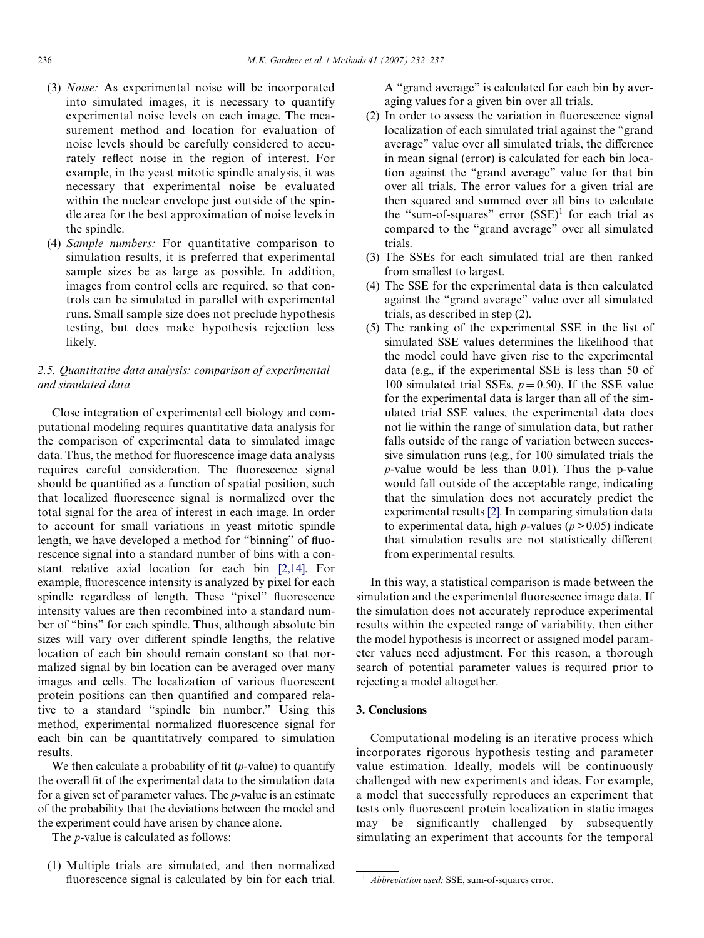- (3) *Noise:* As experimental noise will be incorporated into simulated images, it is necessary to quantify experimental noise levels on each image. The measurement method and location for evaluation of noise levels should be carefully considered to accurately reflect noise in the region of interest. For example, in the yeast mitotic spindle analysis, it was necessary that experimental noise be evaluated within the nuclear envelope just outside of the spindle area for the best approximation of noise levels in the spindle.
- (4) *Sample numbers:* For quantitative comparison to simulation results, it is preferred that experimental sample sizes be as large as possible. In addition, images from control cells are required, so that controls can be simulated in parallel with experimental runs. Small sample size does not preclude hypothesis testing, but does make hypothesis rejection less likely.

# *2.5. Quantitative data analysis: comparison of experimental and simulated data*

Close integration of experimental cell biology and computational modeling requires quantitative data analysis for the comparison of experimental data to simulated image data. Thus, the method for fluorescence image data analysis requires careful consideration. The fluorescence signal should be quantified as a function of spatial position, such that localized fluorescence signal is normalized over the total signal for the area of interest in each image. In order to account for small variations in yeast mitotic spindle length, we have developed a method for "binning" of fluorescence signal into a standard number of bins with a constant relative axial location for each bin [\[2,14\].](#page-5-1) For example, fluorescence intensity is analyzed by pixel for each spindle regardless of length. These "pixel" fluorescence intensity values are then recombined into a standard number of "bins" for each spindle. Thus, although absolute bin sizes will vary over different spindle lengths, the relative location of each bin should remain constant so that normalized signal by bin location can be averaged over many images and cells. The localization of various fluorescent protein positions can then quantified and compared relative to a standard "spindle bin number." Using this method, experimental normalized fluorescence signal for each bin can be quantitatively compared to simulation results.

We then calculate a probability of fit  $(p$ -value) to quantify the overall fit of the experimental data to the simulation data for a given set of parameter values. The *p*-value is an estimate of the probability that the deviations between the model and the experiment could have arisen by chance alone.

The *p*-value is calculated as follows:

(1) Multiple trials are simulated, and then normalized fluorescence signal is calculated by bin for each trial. A "grand average" is calculated for each bin by averaging values for a given bin over all trials.

- $(2)$  In order to assess the variation in fluorescence signal localization of each simulated trial against the "grand average" value over all simulated trials, the difference in mean signal (error) is calculated for each bin location against the "grand average" value for that bin over all trials. The error values for a given trial are then squared and summed over all bins to calculate the "sum-of-squares" error  $(SSE)^1$  for each trial as compared to the "grand average" over all simulated trials.
- (3) The SSEs for each simulated trial are then ranked from smallest to largest.
- (4) The SSE for the experimental data is then calculated against the "grand average" value over all simulated trials, as described in step (2).
- (5) The ranking of the experimental SSE in the list of simulated SSE values determines the likelihood that the model could have given rise to the experimental data (e.g., if the experimental SSE is less than 50 of 100 simulated trial SSEs,  $p = 0.50$ ). If the SSE value for the experimental data is larger than all of the simulated trial SSE values, the experimental data does not lie within the range of simulation data, but rather falls outside of the range of variation between successive simulation runs (e.g., for 100 simulated trials the *p*-value would be less than 0.01). Thus the p-value would fall outside of the acceptable range, indicating that the simulation does not accurately predict the experimental results [\[2\].](#page-5-1) In comparing simulation data to experimental data, high  $p$ -values ( $p > 0.05$ ) indicate that simulation results are not statistically different from experimental results.

In this way, a statistical comparison is made between the simulation and the experimental fluorescence image data. If the simulation does not accurately reproduce experimental results within the expected range of variability, then either the model hypothesis is incorrect or assigned model parameter values need adjustment. For this reason, a thorough search of potential parameter values is required prior to rejecting a model altogether.

### **3. Conclusions**

Computational modeling is an iterative process which incorporates rigorous hypothesis testing and parameter value estimation. Ideally, models will be continuously challenged with new experiments and ideas. For example, a model that successfully reproduces an experiment that tests only fluorescent protein localization in static images may be significantly challenged by subsequently simulating an experiment that accounts for the temporal

<sup>&</sup>lt;sup>1</sup> *Abbreviation used:* SSE, sum-of-squares error.